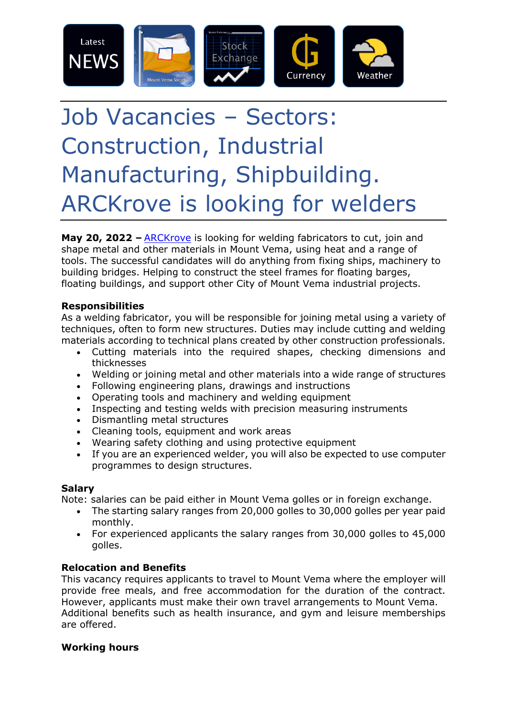

# Job Vacancies – Sectors: Construction, Industrial Manufacturing, Shipbuilding. ARCKrove is looking for welders

**May 20, 2022 –** [ARCKrove](https://www.mount-vema.com/arckrove.html) is looking for welding fabricators to cut, join and shape metal and other materials in Mount Vema, using heat and a range of tools. The successful candidates will do anything from fixing ships, machinery to building bridges. Helping to construct the steel frames for floating barges, floating buildings, and support other City of Mount Vema industrial projects.

## **Responsibilities**

As a welding fabricator, you will be responsible for joining metal using a variety of techniques, often to form new structures. Duties may include cutting and welding materials according to technical plans created by other construction professionals.

- Cutting materials into the required shapes, checking dimensions and thicknesses
- Welding or joining metal and other materials into a wide range of structures
- Following engineering plans, drawings and instructions
- Operating tools and machinery and welding equipment
- Inspecting and testing welds with precision measuring instruments
- Dismantling metal structures
- Cleaning tools, equipment and work areas
- Wearing safety clothing and using protective equipment
- If you are an experienced welder, you will also be expected to use computer programmes to design structures.

## **Salary**

Note: salaries can be paid either in Mount Vema golles or in foreign exchange.

- The starting salary ranges from 20,000 golles to 30,000 golles per year paid monthly.
- For experienced applicants the salary ranges from 30,000 golles to 45,000 golles.

## **Relocation and Benefits**

This vacancy requires applicants to travel to Mount Vema where the employer will provide free meals, and free accommodation for the duration of the contract. However, applicants must make their own travel arrangements to Mount Vema. Additional benefits such as health insurance, and gym and leisure memberships are offered.

## **Working hours**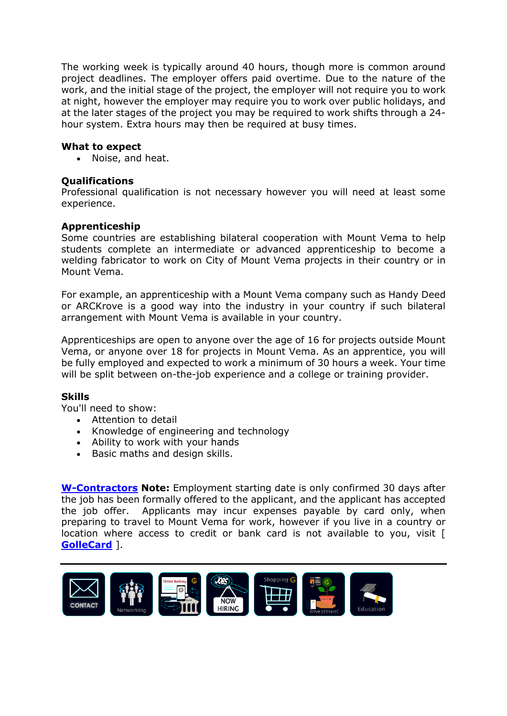The working week is typically around 40 hours, though more is common around project deadlines. The employer offers paid overtime. Due to the nature of the work, and the initial stage of the project, the employer will not require you to work at night, however the employer may require you to work over public holidays, and at the later stages of the project you may be required to work shifts through a 24 hour system. Extra hours may then be required at busy times.

#### **What to expect**

• Noise, and heat.

#### **Qualifications**

Professional qualification is not necessary however you will need at least some experience.

#### **Apprenticeship**

Some countries are establishing bilateral cooperation with Mount Vema to help students complete an intermediate or advanced apprenticeship to become a welding fabricator to work on City of Mount Vema projects in their country or in Mount Vema.

For example, an apprenticeship with a Mount Vema company such as Handy Deed or ARCKrove is a good way into the industry in your country if such bilateral arrangement with Mount Vema is available in your country.

Apprenticeships are open to anyone over the age of 16 for projects outside Mount Vema, or anyone over 18 for projects in Mount Vema. As an apprentice, you will be fully employed and expected to work a minimum of 30 hours a week. Your time will be split between on-the-job experience and a college or training provider.

#### **Skills**

You'll need to show:

- Attention to detail
- Knowledge of engineering and technology
- Ability to work with your hands
- Basic maths and design skills.

**[W-Contractors](https://www.mount-vema.com/w-contractors.html) Note:** Employment starting date is only confirmed 30 days after the job has been formally offered to the applicant, and the applicant has accepted the job offer. Applicants may incur expenses payable by card only, when preparing to travel to Mount Vema for work, however if you live in a country or location where access to credit or bank card is not available to you, visit [ **[GolleCard](https://www.mount-vema.com/gollecard.html)** ].